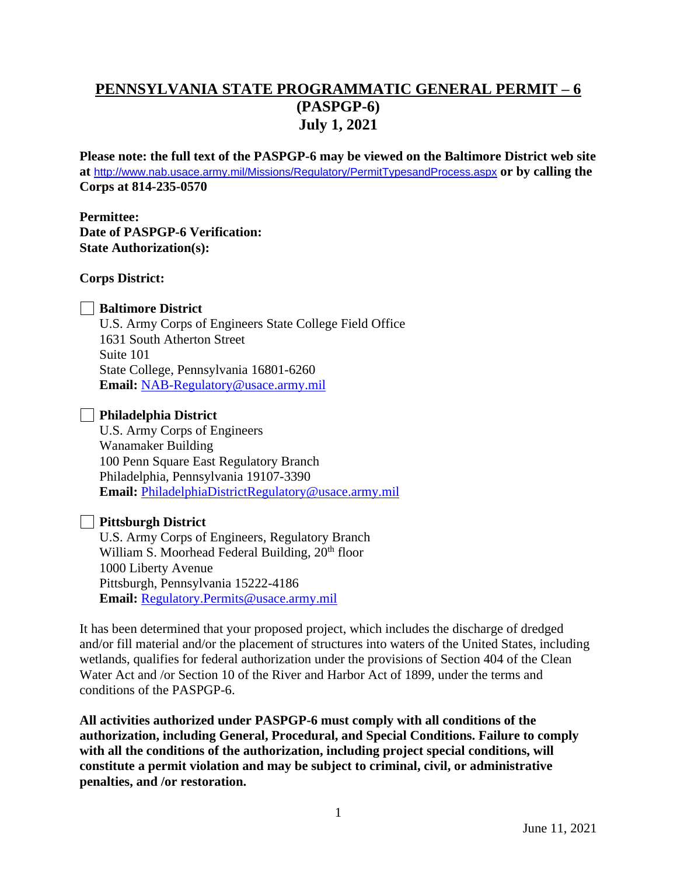# **PENNSYLVANIA STATE PROGRAMMATIC GENERAL PERMIT – 6 (PASPGP-6) July 1, 2021**

**Please note: the full text of the PASPGP-6 may be viewed on the Baltimore District web site at** <http://www.nab.usace.army.mil/Missions/Regulatory/PermitTypesandProcess.aspx> **or by calling the Corps at 814-235-0570**

**Permittee: Date of PASPGP-6 Verification: State Authorization(s):** 

### **Corps District:**

#### **Baltimore District**

U.S. Army Corps of Engineers State College Field Office 1631 South Atherton Street Suite 101 State College, Pennsylvania 16801-6260 **Email:** [NAB-Regulatory@usace.army.mil](mailto:NAB-Regulatory@usace.army.mil)

#### **Philadelphia District**

U.S. Army Corps of Engineers Wanamaker Building 100 Penn Square East Regulatory Branch Philadelphia, Pennsylvania 19107-3390 **Email:** [PhiladelphiaDistrictRegulatory@usace.army.mil](mailto:PhiladelphiaDistrictRegulatory@usace.army.mil)

#### **Pittsburgh District**

U.S. Army Corps of Engineers, Regulatory Branch William S. Moorhead Federal Building, 20<sup>th</sup> floor 1000 Liberty Avenue Pittsburgh, Pennsylvania 15222-4186 **Email:** [Regulatory.Permits@usace.army.mil](mailto:Regulatory.Permits@usace.army.mil)

It has been determined that your proposed project, which includes the discharge of dredged and/or fill material and/or the placement of structures into waters of the United States, including wetlands, qualifies for federal authorization under the provisions of Section 404 of the Clean Water Act and /or Section 10 of the River and Harbor Act of 1899, under the terms and conditions of the PASPGP-6.

**All activities authorized under PASPGP-6 must comply with all conditions of the authorization, including General, Procedural, and Special Conditions. Failure to comply with all the conditions of the authorization, including project special conditions, will constitute a permit violation and may be subject to criminal, civil, or administrative penalties, and /or restoration.**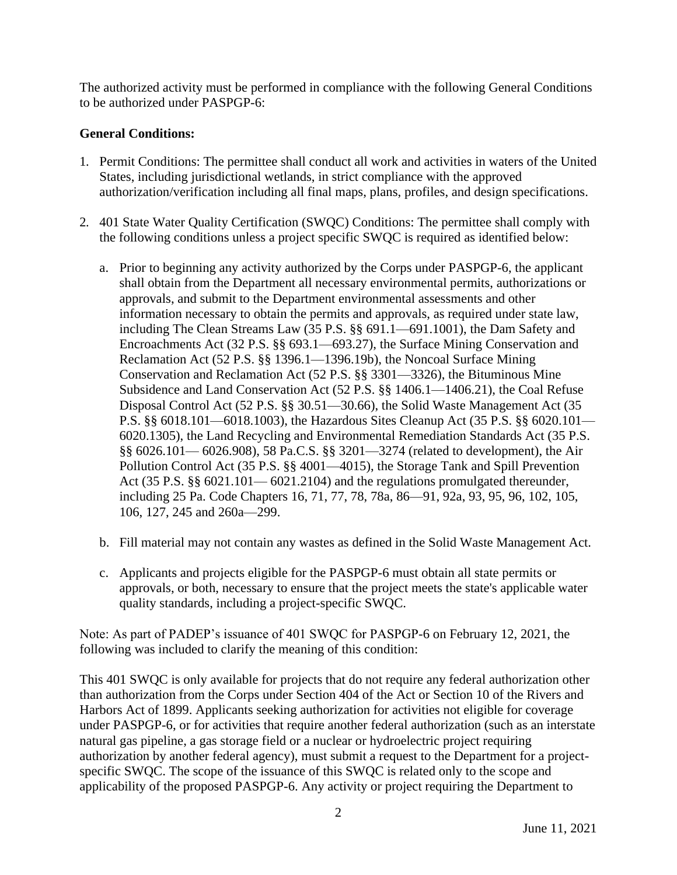The authorized activity must be performed in compliance with the following General Conditions to be authorized under PASPGP-6:

## **General Conditions:**

- 1. Permit Conditions: The permittee shall conduct all work and activities in waters of the United States, including jurisdictional wetlands, in strict compliance with the approved authorization/verification including all final maps, plans, profiles, and design specifications.
- 2. 401 State Water Quality Certification (SWQC) Conditions: The permittee shall comply with the following conditions unless a project specific SWQC is required as identified below:
	- a. Prior to beginning any activity authorized by the Corps under PASPGP-6, the applicant shall obtain from the Department all necessary environmental permits, authorizations or approvals, and submit to the Department environmental assessments and other information necessary to obtain the permits and approvals, as required under state law, including The Clean Streams Law (35 P.S. §§ 691.1—691.1001), the Dam Safety and Encroachments Act (32 P.S. §§ 693.1—693.27), the Surface Mining Conservation and Reclamation Act (52 P.S. §§ 1396.1—1396.19b), the Noncoal Surface Mining Conservation and Reclamation Act (52 P.S. §§ 3301—3326), the Bituminous Mine Subsidence and Land Conservation Act (52 P.S. §§ 1406.1—1406.21), the Coal Refuse Disposal Control Act (52 P.S. §§ 30.51—30.66), the Solid Waste Management Act (35 P.S. §§ 6018.101—6018.1003), the Hazardous Sites Cleanup Act (35 P.S. §§ 6020.101— 6020.1305), the Land Recycling and Environmental Remediation Standards Act (35 P.S. §§ 6026.101— 6026.908), 58 Pa.C.S. §§ 3201—3274 (related to development), the Air Pollution Control Act (35 P.S. §§ 4001—4015), the Storage Tank and Spill Prevention Act (35 P.S. §§ 6021.101— 6021.2104) and the regulations promulgated thereunder, including 25 Pa. Code Chapters 16, 71, 77, 78, 78a, 86—91, 92a, 93, 95, 96, 102, 105, 106, 127, 245 and 260a—299.
	- b. Fill material may not contain any wastes as defined in the Solid Waste Management Act.
	- c. Applicants and projects eligible for the PASPGP-6 must obtain all state permits or approvals, or both, necessary to ensure that the project meets the state's applicable water quality standards, including a project-specific SWQC.

Note: As part of PADEP's issuance of 401 SWQC for PASPGP-6 on February 12, 2021, the following was included to clarify the meaning of this condition:

This 401 SWQC is only available for projects that do not require any federal authorization other than authorization from the Corps under Section 404 of the Act or Section 10 of the Rivers and Harbors Act of 1899. Applicants seeking authorization for activities not eligible for coverage under PASPGP-6, or for activities that require another federal authorization (such as an interstate natural gas pipeline, a gas storage field or a nuclear or hydroelectric project requiring authorization by another federal agency), must submit a request to the Department for a projectspecific SWQC. The scope of the issuance of this SWQC is related only to the scope and applicability of the proposed PASPGP-6. Any activity or project requiring the Department to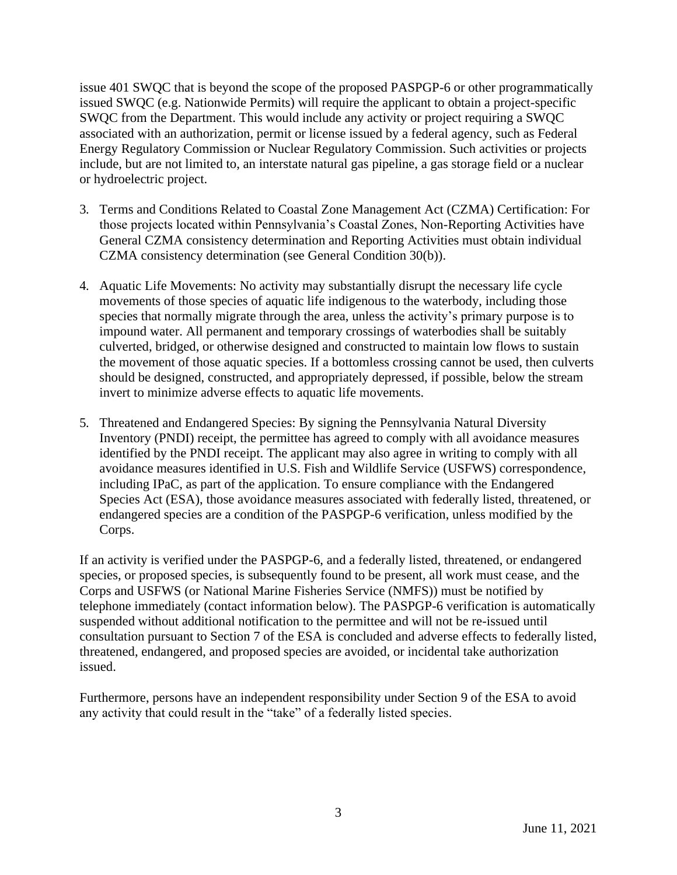issue 401 SWQC that is beyond the scope of the proposed PASPGP-6 or other programmatically issued SWQC (e.g. Nationwide Permits) will require the applicant to obtain a project-specific SWQC from the Department. This would include any activity or project requiring a SWQC associated with an authorization, permit or license issued by a federal agency, such as Federal Energy Regulatory Commission or Nuclear Regulatory Commission. Such activities or projects include, but are not limited to, an interstate natural gas pipeline, a gas storage field or a nuclear or hydroelectric project.

- 3. Terms and Conditions Related to Coastal Zone Management Act (CZMA) Certification: For those projects located within Pennsylvania's Coastal Zones, Non-Reporting Activities have General CZMA consistency determination and Reporting Activities must obtain individual CZMA consistency determination (see General Condition 30(b)).
- 4. Aquatic Life Movements: No activity may substantially disrupt the necessary life cycle movements of those species of aquatic life indigenous to the waterbody, including those species that normally migrate through the area, unless the activity's primary purpose is to impound water. All permanent and temporary crossings of waterbodies shall be suitably culverted, bridged, or otherwise designed and constructed to maintain low flows to sustain the movement of those aquatic species. If a bottomless crossing cannot be used, then culverts should be designed, constructed, and appropriately depressed, if possible, below the stream invert to minimize adverse effects to aquatic life movements.
- 5. Threatened and Endangered Species: By signing the Pennsylvania Natural Diversity Inventory (PNDI) receipt, the permittee has agreed to comply with all avoidance measures identified by the PNDI receipt. The applicant may also agree in writing to comply with all avoidance measures identified in U.S. Fish and Wildlife Service (USFWS) correspondence, including IPaC, as part of the application. To ensure compliance with the Endangered Species Act (ESA), those avoidance measures associated with federally listed, threatened, or endangered species are a condition of the PASPGP-6 verification, unless modified by the Corps.

If an activity is verified under the PASPGP-6, and a federally listed, threatened, or endangered species, or proposed species, is subsequently found to be present, all work must cease, and the Corps and USFWS (or National Marine Fisheries Service (NMFS)) must be notified by telephone immediately (contact information below). The PASPGP-6 verification is automatically suspended without additional notification to the permittee and will not be re-issued until consultation pursuant to Section 7 of the ESA is concluded and adverse effects to federally listed, threatened, endangered, and proposed species are avoided, or incidental take authorization issued.

Furthermore, persons have an independent responsibility under Section 9 of the ESA to avoid any activity that could result in the "take" of a federally listed species.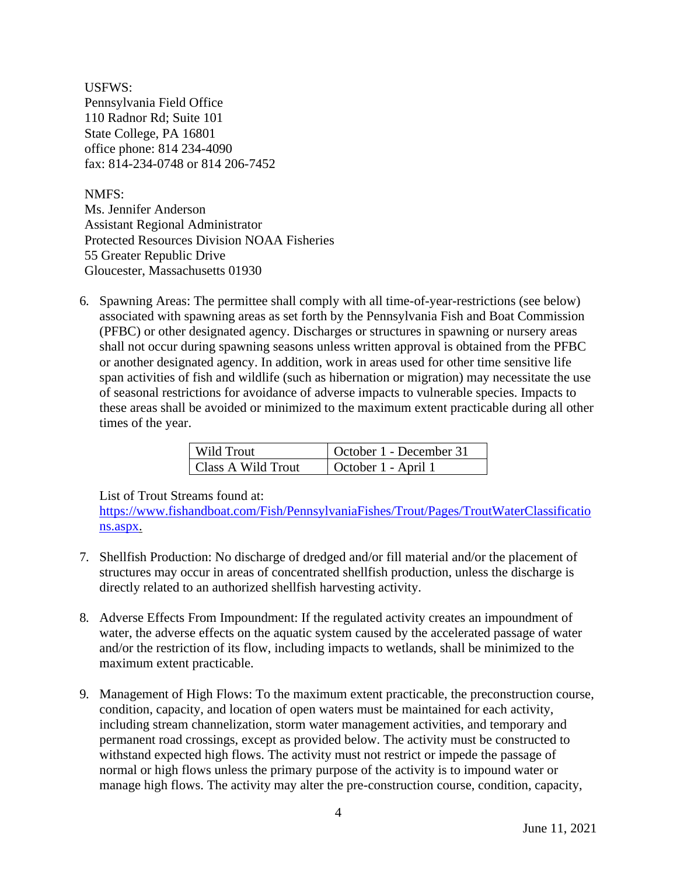USFWS: Pennsylvania Field Office 110 Radnor Rd; Suite 101 State College, PA 16801 office phone: 814 234-4090 fax: 814-234-0748 or 814 206-7452

NMFS:

Ms. Jennifer Anderson Assistant Regional Administrator Protected Resources Division NOAA Fisheries 55 Greater Republic Drive Gloucester, Massachusetts 01930

6. Spawning Areas: The permittee shall comply with all time-of-year-restrictions (see below) associated with spawning areas as set forth by the Pennsylvania Fish and Boat Commission (PFBC) or other designated agency. Discharges or structures in spawning or nursery areas shall not occur during spawning seasons unless written approval is obtained from the PFBC or another designated agency. In addition, work in areas used for other time sensitive life span activities of fish and wildlife (such as hibernation or migration) may necessitate the use of seasonal restrictions for avoidance of adverse impacts to vulnerable species. Impacts to these areas shall be avoided or minimized to the maximum extent practicable during all other times of the year.

| Wild Trout         | October 1 - December 31 |
|--------------------|-------------------------|
| Class A Wild Trout | October 1 - April 1     |

List of Trout Streams found at:

[https://www.fishandboat.com/Fish/PennsylvaniaFishes/Trout/Pages/TroutWaterClassificatio](https://www.fishandboat.com/Fish/PennsylvaniaFishes/Trout/Pages/TroutWaterClassifications.aspx) [ns.aspx.](https://www.fishandboat.com/Fish/PennsylvaniaFishes/Trout/Pages/TroutWaterClassifications.aspx)

- 7. Shellfish Production: No discharge of dredged and/or fill material and/or the placement of structures may occur in areas of concentrated shellfish production, unless the discharge is directly related to an authorized shellfish harvesting activity.
- 8. Adverse Effects From Impoundment: If the regulated activity creates an impoundment of water, the adverse effects on the aquatic system caused by the accelerated passage of water and/or the restriction of its flow, including impacts to wetlands, shall be minimized to the maximum extent practicable.
- 9. Management of High Flows: To the maximum extent practicable, the preconstruction course, condition, capacity, and location of open waters must be maintained for each activity, including stream channelization, storm water management activities, and temporary and permanent road crossings, except as provided below. The activity must be constructed to withstand expected high flows. The activity must not restrict or impede the passage of normal or high flows unless the primary purpose of the activity is to impound water or manage high flows. The activity may alter the pre-construction course, condition, capacity,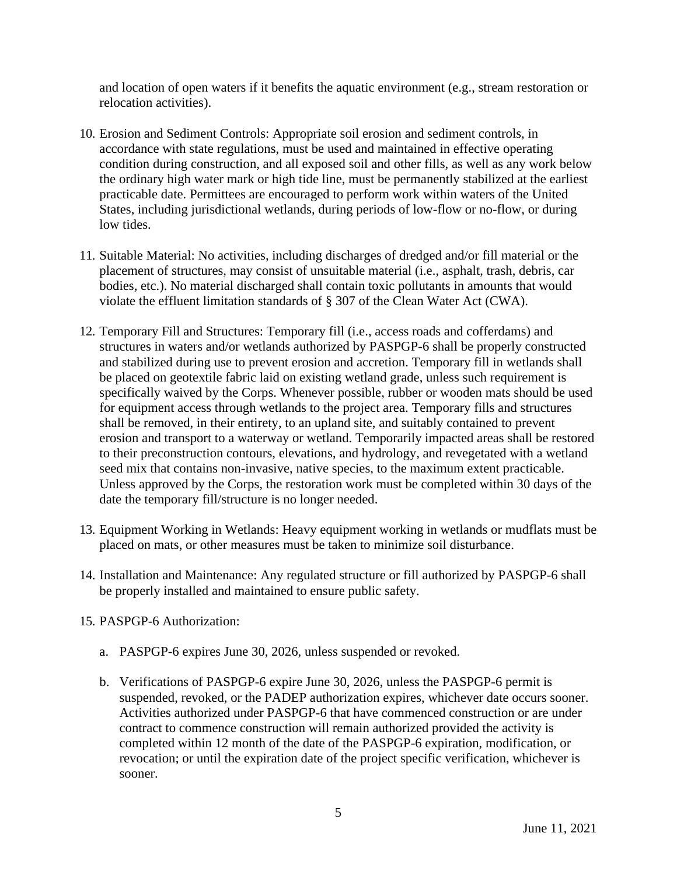and location of open waters if it benefits the aquatic environment (e.g., stream restoration or relocation activities).

- 10. Erosion and Sediment Controls: Appropriate soil erosion and sediment controls, in accordance with state regulations, must be used and maintained in effective operating condition during construction, and all exposed soil and other fills, as well as any work below the ordinary high water mark or high tide line, must be permanently stabilized at the earliest practicable date. Permittees are encouraged to perform work within waters of the United States, including jurisdictional wetlands, during periods of low-flow or no-flow, or during low tides.
- 11. Suitable Material: No activities, including discharges of dredged and/or fill material or the placement of structures, may consist of unsuitable material (i.e., asphalt, trash, debris, car bodies, etc.). No material discharged shall contain toxic pollutants in amounts that would violate the effluent limitation standards of § 307 of the Clean Water Act (CWA).
- 12. Temporary Fill and Structures: Temporary fill (i.e., access roads and cofferdams) and structures in waters and/or wetlands authorized by PASPGP-6 shall be properly constructed and stabilized during use to prevent erosion and accretion. Temporary fill in wetlands shall be placed on geotextile fabric laid on existing wetland grade, unless such requirement is specifically waived by the Corps. Whenever possible, rubber or wooden mats should be used for equipment access through wetlands to the project area. Temporary fills and structures shall be removed, in their entirety, to an upland site, and suitably contained to prevent erosion and transport to a waterway or wetland. Temporarily impacted areas shall be restored to their preconstruction contours, elevations, and hydrology, and revegetated with a wetland seed mix that contains non-invasive, native species, to the maximum extent practicable. Unless approved by the Corps, the restoration work must be completed within 30 days of the date the temporary fill/structure is no longer needed.
- 13. Equipment Working in Wetlands: Heavy equipment working in wetlands or mudflats must be placed on mats, or other measures must be taken to minimize soil disturbance.
- 14. Installation and Maintenance: Any regulated structure or fill authorized by PASPGP-6 shall be properly installed and maintained to ensure public safety.
- 15. PASPGP-6 Authorization:
	- a. PASPGP-6 expires June 30, 2026, unless suspended or revoked.
	- b. Verifications of PASPGP-6 expire June 30, 2026, unless the PASPGP-6 permit is suspended, revoked, or the PADEP authorization expires, whichever date occurs sooner. Activities authorized under PASPGP-6 that have commenced construction or are under contract to commence construction will remain authorized provided the activity is completed within 12 month of the date of the PASPGP-6 expiration, modification, or revocation; or until the expiration date of the project specific verification, whichever is sooner.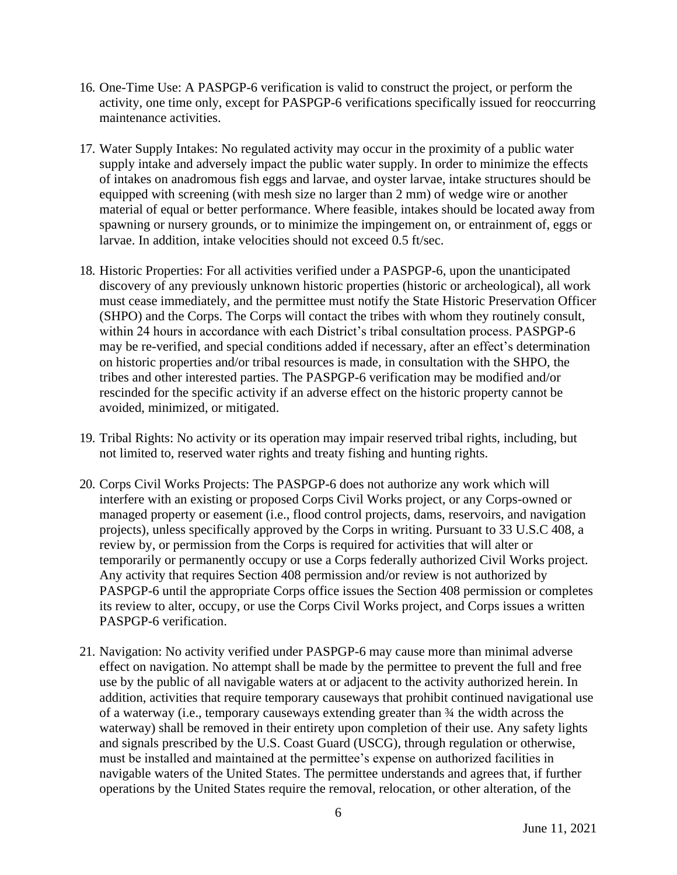- 16. One-Time Use: A PASPGP-6 verification is valid to construct the project, or perform the activity, one time only, except for PASPGP-6 verifications specifically issued for reoccurring maintenance activities.
- 17. Water Supply Intakes: No regulated activity may occur in the proximity of a public water supply intake and adversely impact the public water supply. In order to minimize the effects of intakes on anadromous fish eggs and larvae, and oyster larvae, intake structures should be equipped with screening (with mesh size no larger than 2 mm) of wedge wire or another material of equal or better performance. Where feasible, intakes should be located away from spawning or nursery grounds, or to minimize the impingement on, or entrainment of, eggs or larvae. In addition, intake velocities should not exceed 0.5 ft/sec.
- 18. Historic Properties: For all activities verified under a PASPGP-6, upon the unanticipated discovery of any previously unknown historic properties (historic or archeological), all work must cease immediately, and the permittee must notify the State Historic Preservation Officer (SHPO) and the Corps. The Corps will contact the tribes with whom they routinely consult, within 24 hours in accordance with each District's tribal consultation process. PASPGP-6 may be re-verified, and special conditions added if necessary, after an effect's determination on historic properties and/or tribal resources is made, in consultation with the SHPO, the tribes and other interested parties. The PASPGP-6 verification may be modified and/or rescinded for the specific activity if an adverse effect on the historic property cannot be avoided, minimized, or mitigated.
- 19. Tribal Rights: No activity or its operation may impair reserved tribal rights, including, but not limited to, reserved water rights and treaty fishing and hunting rights.
- 20. Corps Civil Works Projects: The PASPGP-6 does not authorize any work which will interfere with an existing or proposed Corps Civil Works project, or any Corps-owned or managed property or easement (i.e., flood control projects, dams, reservoirs, and navigation projects), unless specifically approved by the Corps in writing. Pursuant to 33 U.S.C 408, a review by, or permission from the Corps is required for activities that will alter or temporarily or permanently occupy or use a Corps federally authorized Civil Works project. Any activity that requires Section 408 permission and/or review is not authorized by PASPGP-6 until the appropriate Corps office issues the Section 408 permission or completes its review to alter, occupy, or use the Corps Civil Works project, and Corps issues a written PASPGP-6 verification.
- 21. Navigation: No activity verified under PASPGP-6 may cause more than minimal adverse effect on navigation. No attempt shall be made by the permittee to prevent the full and free use by the public of all navigable waters at or adjacent to the activity authorized herein. In addition, activities that require temporary causeways that prohibit continued navigational use of a waterway (i.e., temporary causeways extending greater than ¾ the width across the waterway) shall be removed in their entirety upon completion of their use. Any safety lights and signals prescribed by the U.S. Coast Guard (USCG), through regulation or otherwise, must be installed and maintained at the permittee's expense on authorized facilities in navigable waters of the United States. The permittee understands and agrees that, if further operations by the United States require the removal, relocation, or other alteration, of the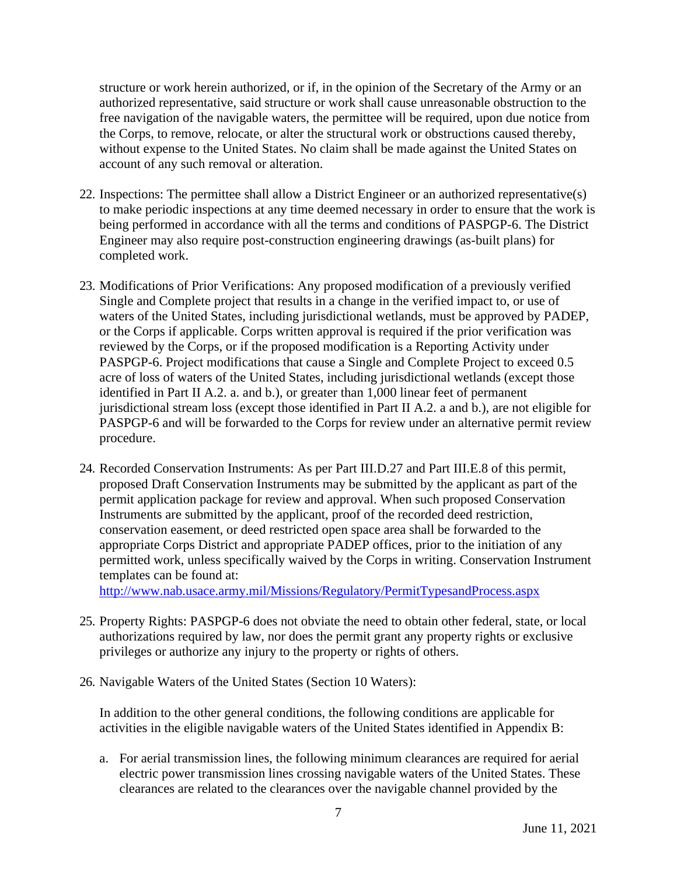structure or work herein authorized, or if, in the opinion of the Secretary of the Army or an authorized representative, said structure or work shall cause unreasonable obstruction to the free navigation of the navigable waters, the permittee will be required, upon due notice from the Corps, to remove, relocate, or alter the structural work or obstructions caused thereby, without expense to the United States. No claim shall be made against the United States on account of any such removal or alteration.

- 22. Inspections: The permittee shall allow a District Engineer or an authorized representative(s) to make periodic inspections at any time deemed necessary in order to ensure that the work is being performed in accordance with all the terms and conditions of PASPGP-6. The District Engineer may also require post-construction engineering drawings (as-built plans) for completed work.
- 23. Modifications of Prior Verifications: Any proposed modification of a previously verified Single and Complete project that results in a change in the verified impact to, or use of waters of the United States, including jurisdictional wetlands, must be approved by PADEP, or the Corps if applicable. Corps written approval is required if the prior verification was reviewed by the Corps, or if the proposed modification is a Reporting Activity under PASPGP-6. Project modifications that cause a Single and Complete Project to exceed 0.5 acre of loss of waters of the United States, including jurisdictional wetlands (except those identified in Part II A.2. a. and b.), or greater than 1,000 linear feet of permanent jurisdictional stream loss (except those identified in Part II A.2. a and b.), are not eligible for PASPGP-6 and will be forwarded to the Corps for review under an alternative permit review procedure.
- 24. Recorded Conservation Instruments: As per Part III.D.27 and Part III.E.8 of this permit, proposed Draft Conservation Instruments may be submitted by the applicant as part of the permit application package for review and approval. When such proposed Conservation Instruments are submitted by the applicant, proof of the recorded deed restriction, conservation easement, or deed restricted open space area shall be forwarded to the appropriate Corps District and appropriate PADEP offices, prior to the initiation of any permitted work, unless specifically waived by the Corps in writing. Conservation Instrument templates can be found at:

<http://www.nab.usace.army.mil/Missions/Regulatory/PermitTypesandProcess.aspx>

- 25. Property Rights: PASPGP-6 does not obviate the need to obtain other federal, state, or local authorizations required by law, nor does the permit grant any property rights or exclusive privileges or authorize any injury to the property or rights of others.
- 26. Navigable Waters of the United States (Section 10 Waters):

In addition to the other general conditions, the following conditions are applicable for activities in the eligible navigable waters of the United States identified in Appendix B:

a. For aerial transmission lines, the following minimum clearances are required for aerial electric power transmission lines crossing navigable waters of the United States. These clearances are related to the clearances over the navigable channel provided by the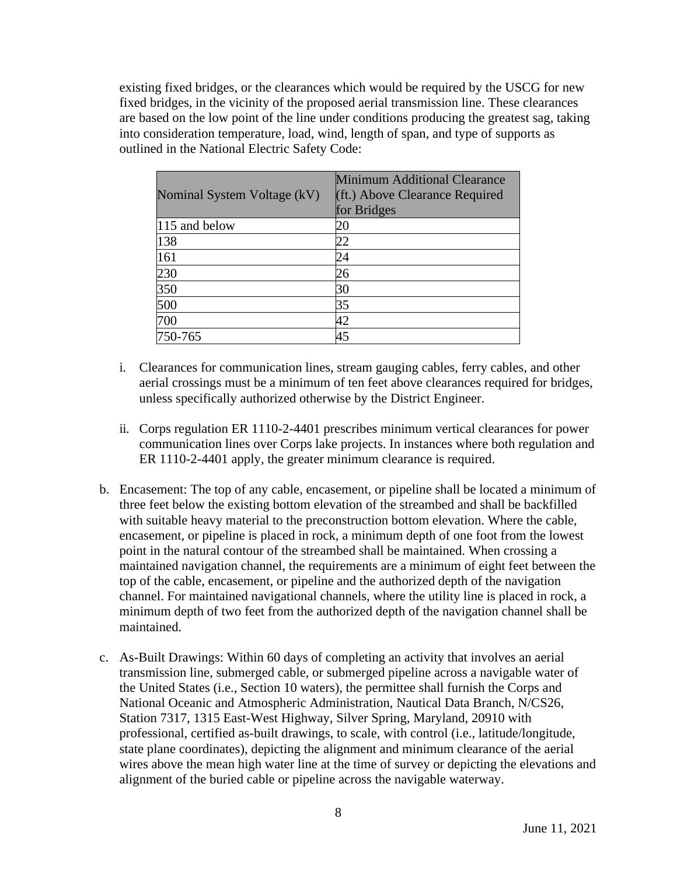existing fixed bridges, or the clearances which would be required by the USCG for new fixed bridges, in the vicinity of the proposed aerial transmission line. These clearances are based on the low point of the line under conditions producing the greatest sag, taking into consideration temperature, load, wind, length of span, and type of supports as outlined in the National Electric Safety Code:

| Nominal System Voltage (kV) | <b>Minimum Additional Clearance</b><br>(ft.) Above Clearance Required<br>for Bridges |
|-----------------------------|--------------------------------------------------------------------------------------|
| 115 and below               | 20                                                                                   |
| 138                         | 22                                                                                   |
| 161                         | 24                                                                                   |
| 230                         | 26                                                                                   |
| 350                         | 30                                                                                   |
| 500                         | 35                                                                                   |
| 700                         | 42                                                                                   |
| 750-765                     | 45                                                                                   |

- i. Clearances for communication lines, stream gauging cables, ferry cables, and other aerial crossings must be a minimum of ten feet above clearances required for bridges, unless specifically authorized otherwise by the District Engineer.
- ii. Corps regulation ER 1110-2-4401 prescribes minimum vertical clearances for power communication lines over Corps lake projects. In instances where both regulation and ER 1110-2-4401 apply, the greater minimum clearance is required.
- b. Encasement: The top of any cable, encasement, or pipeline shall be located a minimum of three feet below the existing bottom elevation of the streambed and shall be backfilled with suitable heavy material to the preconstruction bottom elevation. Where the cable, encasement, or pipeline is placed in rock, a minimum depth of one foot from the lowest point in the natural contour of the streambed shall be maintained. When crossing a maintained navigation channel, the requirements are a minimum of eight feet between the top of the cable, encasement, or pipeline and the authorized depth of the navigation channel. For maintained navigational channels, where the utility line is placed in rock, a minimum depth of two feet from the authorized depth of the navigation channel shall be maintained.
- c. As-Built Drawings: Within 60 days of completing an activity that involves an aerial transmission line, submerged cable, or submerged pipeline across a navigable water of the United States (i.e., Section 10 waters), the permittee shall furnish the Corps and National Oceanic and Atmospheric Administration, Nautical Data Branch, N/CS26, Station 7317, 1315 East-West Highway, Silver Spring, Maryland, 20910 with professional, certified as-built drawings, to scale, with control (i.e., latitude/longitude, state plane coordinates), depicting the alignment and minimum clearance of the aerial wires above the mean high water line at the time of survey or depicting the elevations and alignment of the buried cable or pipeline across the navigable waterway.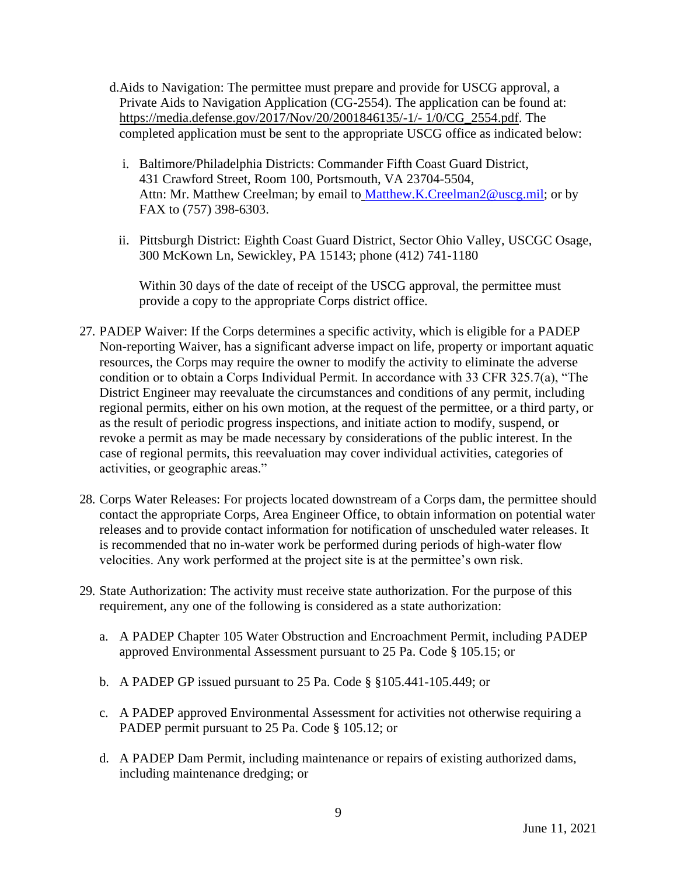- d.Aids to Navigation: The permittee must prepare and provide for USCG approval, a Private Aids to Navigation Application (CG-2554). The application can be found at: https://media.defense.gov/2017/Nov/20/2001846135/-1/- 1/0/CG\_2554.pdf. The completed application must be sent to the appropriate USCG office as indicated below:
	- i. Baltimore/Philadelphia Districts: Commander Fifth Coast Guard District, 431 Crawford Street, Room 100, Portsmouth, VA 23704-5504, Attn: Mr. Matthew Creelman; by email to [Matthew.K.Creelman2@uscg.mil;](mailto:Matthew.K.Creelman2@uscg.mil) or by FAX to (757) 398-6303.
	- ii. Pittsburgh District: Eighth Coast Guard District, Sector Ohio Valley, USCGC Osage, 300 McKown Ln, Sewickley, PA 15143; phone (412) 741-1180

Within 30 days of the date of receipt of the USCG approval, the permittee must provide a copy to the appropriate Corps district office.

- 27. PADEP Waiver: If the Corps determines a specific activity, which is eligible for a PADEP Non-reporting Waiver, has a significant adverse impact on life, property or important aquatic resources, the Corps may require the owner to modify the activity to eliminate the adverse condition or to obtain a Corps Individual Permit. In accordance with 33 CFR 325.7(a), "The District Engineer may reevaluate the circumstances and conditions of any permit, including regional permits, either on his own motion, at the request of the permittee, or a third party, or as the result of periodic progress inspections, and initiate action to modify, suspend, or revoke a permit as may be made necessary by considerations of the public interest. In the case of regional permits, this reevaluation may cover individual activities, categories of activities, or geographic areas."
- 28. Corps Water Releases: For projects located downstream of a Corps dam, the permittee should contact the appropriate Corps, Area Engineer Office, to obtain information on potential water releases and to provide contact information for notification of unscheduled water releases. It is recommended that no in-water work be performed during periods of high-water flow velocities. Any work performed at the project site is at the permittee's own risk.
- 29. State Authorization: The activity must receive state authorization. For the purpose of this requirement, any one of the following is considered as a state authorization:
	- a. A PADEP Chapter 105 Water Obstruction and Encroachment Permit, including PADEP approved Environmental Assessment pursuant to 25 Pa. Code § 105.15; or
	- b. A PADEP GP issued pursuant to 25 Pa. Code § §105.441-105.449; or
	- c. A PADEP approved Environmental Assessment for activities not otherwise requiring a PADEP permit pursuant to 25 Pa. Code § 105.12; or
	- d. A PADEP Dam Permit, including maintenance or repairs of existing authorized dams, including maintenance dredging; or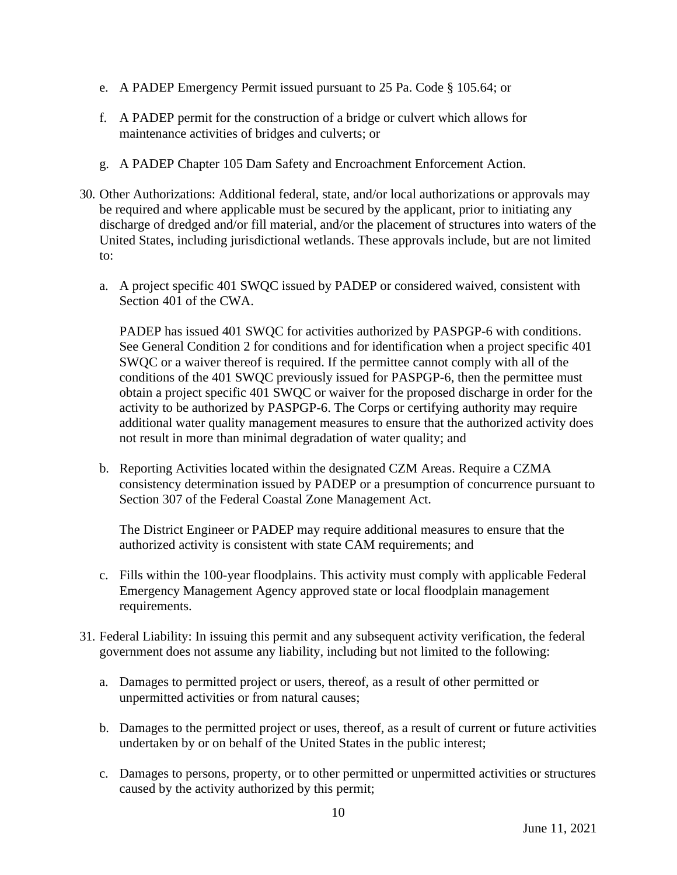- e. A PADEP Emergency Permit issued pursuant to 25 Pa. Code § 105.64; or
- f. A PADEP permit for the construction of a bridge or culvert which allows for maintenance activities of bridges and culverts; or
- g. A PADEP Chapter 105 Dam Safety and Encroachment Enforcement Action.
- 30. Other Authorizations: Additional federal, state, and/or local authorizations or approvals may be required and where applicable must be secured by the applicant, prior to initiating any discharge of dredged and/or fill material, and/or the placement of structures into waters of the United States, including jurisdictional wetlands. These approvals include, but are not limited to:
	- a. A project specific 401 SWQC issued by PADEP or considered waived, consistent with Section 401 of the CWA.

PADEP has issued 401 SWQC for activities authorized by PASPGP-6 with conditions. See General Condition 2 for conditions and for identification when a project specific 401 SWQC or a waiver thereof is required. If the permittee cannot comply with all of the conditions of the 401 SWQC previously issued for PASPGP-6, then the permittee must obtain a project specific 401 SWQC or waiver for the proposed discharge in order for the activity to be authorized by PASPGP-6. The Corps or certifying authority may require additional water quality management measures to ensure that the authorized activity does not result in more than minimal degradation of water quality; and

b. Reporting Activities located within the designated CZM Areas. Require a CZMA consistency determination issued by PADEP or a presumption of concurrence pursuant to Section 307 of the Federal Coastal Zone Management Act.

The District Engineer or PADEP may require additional measures to ensure that the authorized activity is consistent with state CAM requirements; and

- c. Fills within the 100-year floodplains. This activity must comply with applicable Federal Emergency Management Agency approved state or local floodplain management requirements.
- 31. Federal Liability: In issuing this permit and any subsequent activity verification, the federal government does not assume any liability, including but not limited to the following:
	- a. Damages to permitted project or users, thereof, as a result of other permitted or unpermitted activities or from natural causes;
	- b. Damages to the permitted project or uses, thereof, as a result of current or future activities undertaken by or on behalf of the United States in the public interest;
	- c. Damages to persons, property, or to other permitted or unpermitted activities or structures caused by the activity authorized by this permit;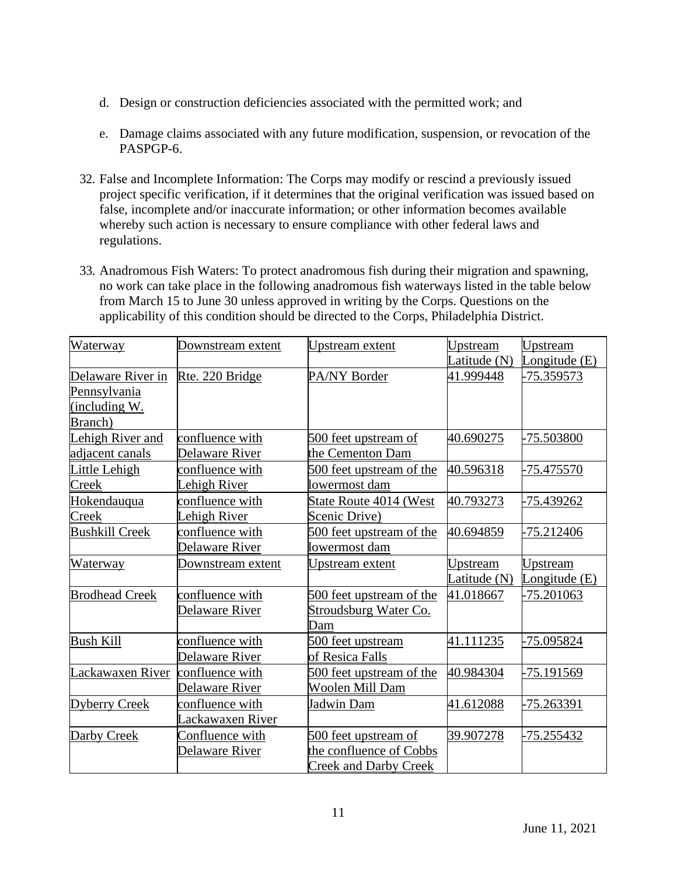- d. Design or construction deficiencies associated with the permitted work; and
- e. Damage claims associated with any future modification, suspension, or revocation of the PASPGP-6.
- 32. False and Incomplete Information: The Corps may modify or rescind a previously issued project specific verification, if it determines that the original verification was issued based on false, incomplete and/or inaccurate information; or other information becomes available whereby such action is necessary to ensure compliance with other federal laws and regulations.
- 33. Anadromous Fish Waters: To protect anadromous fish during their migration and spawning, no work can take place in the following anadromous fish waterways listed in the table below from March 15 to June 30 unless approved in writing by the Corps. Questions on the applicability of this condition should be directed to the Corps, Philadelphia District.

| Waterway              | Downstream extent | <b>Upstream</b> extent       | Upstream     | Upstream        |
|-----------------------|-------------------|------------------------------|--------------|-----------------|
|                       |                   |                              | Latitude (N) | Longitude (E)   |
| Delaware River in     | Rte. 220 Bridge   | PA/NY Border                 | 41.999448    | -75.359573      |
| Pennsylvania          |                   |                              |              |                 |
| (including W.         |                   |                              |              |                 |
| Branch)               |                   |                              |              |                 |
| Lehigh River and      | confluence with   | 500 feet upstream of         | 40.690275    | -75.503800      |
| adjacent canals       | Delaware River    | the Cementon Dam             |              |                 |
| Little Lehigh         | confluence with   | 500 feet upstream of the     | 40.596318    | -75.475570      |
| Creek                 | Lehigh River      | lowermost dam                |              |                 |
| Hokendauqua           | confluence with   | State Route 4014 (West       | 40.793273    | -75.439262      |
| Creek                 | Lehigh River      | Scenic Drive)                |              |                 |
| <b>Bushkill Creek</b> | confluence with   | 500 feet upstream of the     | 40.694859    | -75.212406      |
|                       | Delaware River    | lowermost dam                |              |                 |
| Waterway              | Downstream extent | <u>Upstream extent</u>       | Upstream     | <b>Upstream</b> |
|                       |                   |                              | Latitude (N) | Longitude (E)   |
| <b>Brodhead Creek</b> | confluence with   | 500 feet upstream of the     | 41.018667    | -75.201063      |
|                       | Delaware River    | Stroudsburg Water Co.        |              |                 |
|                       |                   | Dam                          |              |                 |
| <b>Bush Kill</b>      | confluence with   | 500 feet upstream            | 41.111235    | -75.095824      |
|                       | Delaware River    | of Resica Falls              |              |                 |
| Lackawaxen River      | confluence with   | 500 feet upstream of the     | 40.984304    | -75.191569      |
|                       | Delaware River    | Woolen Mill Dam              |              |                 |
| Dyberry Creek         | confluence with   | Jadwin Dam                   | 41.612088    | -75.263391      |
|                       | Lackawaxen River  |                              |              |                 |
| Darby Creek           | Confluence with   | 500 feet upstream of         | 39.907278    | -75.255432      |
|                       | Delaware River    | the confluence of Cobbs      |              |                 |
|                       |                   | <b>Creek and Darby Creek</b> |              |                 |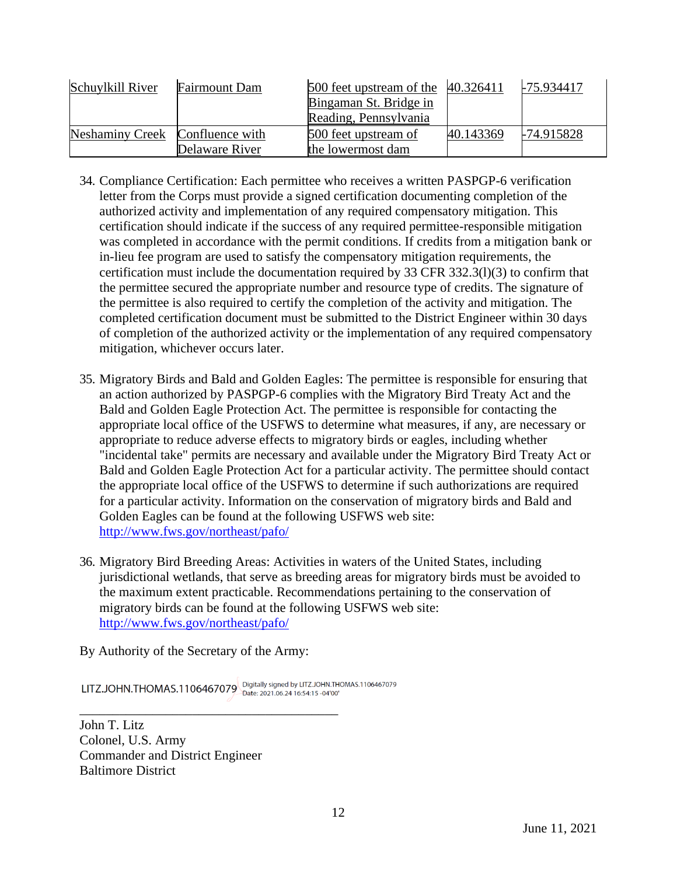| Schuylkill River                | <b>Fairmount Dam</b> | $500$ feet upstream of the $\left[40.326411\right]$<br>Bingaman St. Bridge in |           | 175.934417 |
|---------------------------------|----------------------|-------------------------------------------------------------------------------|-----------|------------|
|                                 |                      | Reading, Pennsylvania                                                         |           |            |
| Neshaminy Creek Confluence with |                      | 500 feet upstream of                                                          | 40.143369 | -74.915828 |
|                                 | Delaware River       | the lowermost dam                                                             |           |            |

- 34. Compliance Certification: Each permittee who receives a written PASPGP-6 verification letter from the Corps must provide a signed certification documenting completion of the authorized activity and implementation of any required compensatory mitigation. This certification should indicate if the success of any required permittee-responsible mitigation was completed in accordance with the permit conditions. If credits from a mitigation bank or in-lieu fee program are used to satisfy the compensatory mitigation requirements, the certification must include the documentation required by 33 CFR 332.3(l)(3) to confirm that the permittee secured the appropriate number and resource type of credits. The signature of the permittee is also required to certify the completion of the activity and mitigation. The completed certification document must be submitted to the District Engineer within 30 days of completion of the authorized activity or the implementation of any required compensatory mitigation, whichever occurs later.
- 35. Migratory Birds and Bald and Golden Eagles: The permittee is responsible for ensuring that an action authorized by PASPGP-6 complies with the Migratory Bird Treaty Act and the Bald and Golden Eagle Protection Act. The permittee is responsible for contacting the appropriate local office of the USFWS to determine what measures, if any, are necessary or appropriate to reduce adverse effects to migratory birds or eagles, including whether "incidental take" permits are necessary and available under the Migratory Bird Treaty Act or Bald and Golden Eagle Protection Act for a particular activity. The permittee should contact the appropriate local office of the USFWS to determine if such authorizations are required for a particular activity. Information on the conservation of migratory birds and Bald and Golden Eagles can be found at the following USFWS web site: <http://www.fws.gov/northeast/pafo/>
- 36. Migratory Bird Breeding Areas: Activities in waters of the United States, including jurisdictional wetlands, that serve as breeding areas for migratory birds must be avoided to the maximum extent practicable. Recommendations pertaining to the conservation of migratory birds can be found at the following USFWS web site: <http://www.fws.gov/northeast/pafo/>

By Authority of the Secretary of the Army:

\_\_\_\_\_\_\_\_\_\_\_\_\_\_\_\_\_\_\_\_\_\_\_\_\_\_\_\_\_\_\_\_\_\_\_\_\_\_\_

LITZ.JOHN.THOMAS.1106467079 Digitally signed by LITZ.JOHN.THOMAS.1106467079

John T. Litz Colonel, U.S. Army Commander and District Engineer Baltimore District